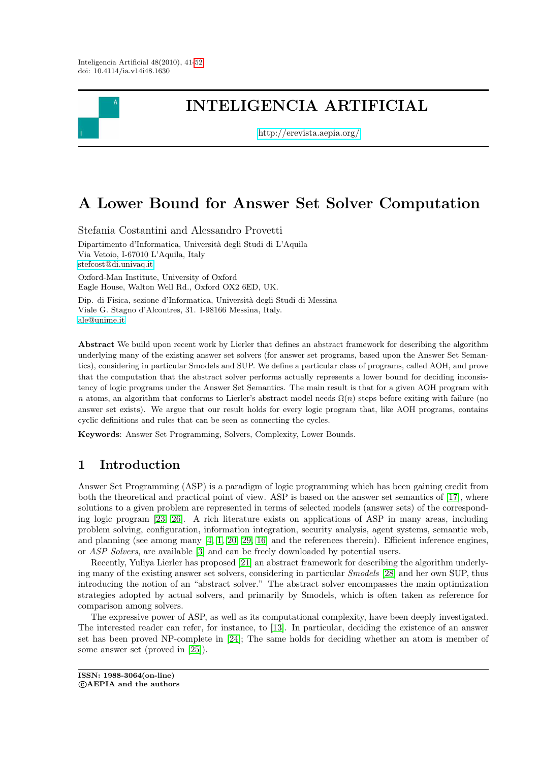

# INTELIGENCIA ARTIFICIAL

<http://erevista.aepia.org/>

# A Lower Bound for Answer Set Solver Computation

Stefania Costantini and Alessandro Provetti Dipartimento d'Informatica, Università degli Studi di L'Aquila Via Vetoio, I-67010 L'Aquila, Italy [stefcost@di.univaq.it](mailto:stefcost@di.univaq.it) Oxford-Man Institute, University of Oxford Eagle House, Walton Well Rd., Oxford OX2 6ED, UK.

Dip. di Fisica, sezione d'Informatica, Università degli Studi di Messina Viale G. Stagno d'Alcontres, 31. I-98166 Messina, Italy. [ale@unime.it](mailto:ale@unime.it)

Abstract We build upon recent work by Lierler that defines an abstract framework for describing the algorithm underlying many of the existing answer set solvers (for answer set programs, based upon the Answer Set Semantics), considering in particular Smodels and SUP. We define a particular class of programs, called AOH, and prove that the computation that the abstract solver performs actually represents a lower bound for deciding inconsistency of logic programs under the Answer Set Semantics. The main result is that for a given AOH program with n atoms, an algorithm that conforms to Lierler's abstract model needs  $\Omega(n)$  steps before exiting with failure (no answer set exists). We argue that our result holds for every logic program that, like AOH programs, contains cyclic definitions and rules that can be seen as connecting the cycles.

Keywords: Answer Set Programming, Solvers, Complexity, Lower Bounds.

# 1 Introduction

Answer Set Programming (ASP) is a paradigm of logic programming which has been gaining credit from both the theoretical and practical point of view. ASP is based on the answer set semantics of [\[17\]](#page-11-1), where solutions to a given problem are represented in terms of selected models (answer sets) of the corresponding logic program [\[23,](#page-11-2) [26\]](#page-11-3). A rich literature exists on applications of ASP in many areas, including problem solving, configuration, information integration, security analysis, agent systems, semantic web, and planning (see among many  $[4, 1, 20, 29, 16]$  $[4, 1, 20, 29, 16]$  $[4, 1, 20, 29, 16]$  $[4, 1, 20, 29, 16]$  $[4, 1, 20, 29, 16]$  and the references therein). Efficient inference engines, or ASP Solvers, are available [\[3\]](#page-10-2) and can be freely downloaded by potential users.

Recently, Yuliya Lierler has proposed [\[21\]](#page-11-7) an abstract framework for describing the algorithm underlying many of the existing answer set solvers, considering in particular Smodels [\[28\]](#page-11-8) and her own SUP, thus introducing the notion of an "abstract solver." The abstract solver encompasses the main optimization strategies adopted by actual solvers, and primarily by Smodels, which is often taken as reference for comparison among solvers.

The expressive power of ASP, as well as its computational complexity, have been deeply investigated. The interested reader can refer, for instance, to [\[13\]](#page-11-9). In particular, deciding the existence of an answer set has been proved NP-complete in [\[24\]](#page-11-10); The same holds for deciding whether an atom is member of some answer set (proved in [\[25\]](#page-11-11)).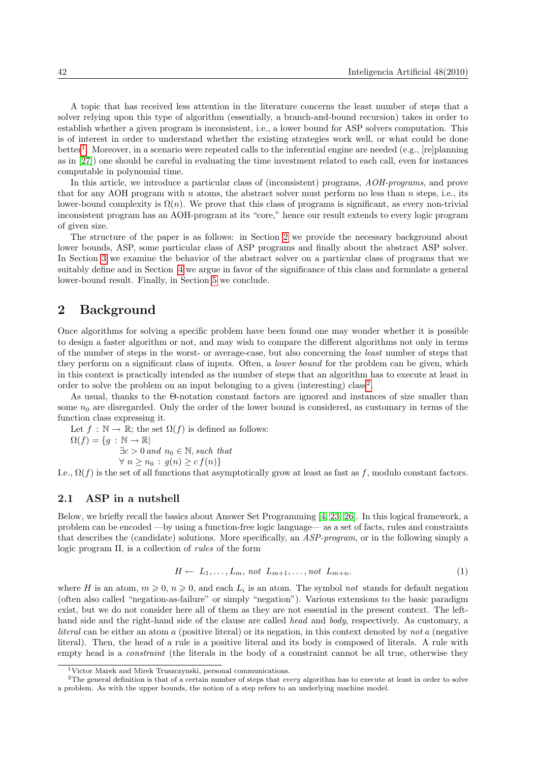A topic that has received less attention in the literature concerns the least number of steps that a solver relying upon this type of algorithm (essentially, a branch-and-bound recursion) takes in order to establish whether a given program is inconsistent, i.e., a lower bound for ASP solvers computation. This is of interest in order to understand whether the existing strategies work well, or what could be done better<sup>[1](#page-1-0)</sup>. Moreover, in a scenario were repeated calls to the inferential engine are needed (e.g., [re]planning as in [\[27\]](#page-11-12)) one should be careful in evaluating the time investment related to each call, even for instances computable in polynomial time.

In this article, we introduce a particular class of (inconsistent) programs,  $AOH$ -programs, and prove that for any AOH program with  $n$  atoms, the abstract solver must perform no less than  $n$  steps, i.e., its lower-bound complexity is  $\Omega(n)$ . We prove that this class of programs is significant, as every non-trivial inconsistent program has an AOH-program at its "core," hence our result extends to every logic program of given size.

The structure of the paper is as follows: in Section [2](#page-1-1) we provide the necessary background about lower bounds, ASP, some particular class of ASP programs and finally about the abstract ASP solver. In Section [3](#page-5-0) we examine the behavior of the abstract solver on a particular class of programs that we suitably define and in Section [4](#page-8-0) we argue in favor of the significance of this class and formulate a general lower-bound result. Finally, in Section [5](#page-9-0) we conclude.

### <span id="page-1-1"></span>2 Background

Once algorithms for solving a specific problem have been found one may wonder whether it is possible to design a faster algorithm or not, and may wish to compare the different algorithms not only in terms of the number of steps in the worst- or average-case, but also concerning the least number of steps that they perform on a significant class of inputs. Often, a *lower bound* for the problem can be given, which in this context is practically intended as the number of steps that an algorithm has to execute at least in order to solve the problem on an input belonging to a given (interesting) class<sup>[2](#page-1-2)</sup>.

As usual, thanks to the Θ-notation constant factors are ignored and instances of size smaller than some  $n_0$  are disregarded. Only the order of the lower bound is considered, as customary in terms of the function class expressing it.

Let  $f : \mathbb{N} \to \mathbb{R}$ ; the set  $\Omega(f)$  is defined as follows:  $\Omega(f) = \{g : \mathbb{N} \to \mathbb{R} \}$  $\exists c > 0$  and  $n_0 \in \mathbb{N}$ , such that  $\forall n \geq n_0 : g(n) \geq c f(n)$ 

I.e.,  $\Omega(f)$  is the set of all functions that asymptotically grow at least as fast as f, modulo constant factors.

### 2.1 ASP in a nutshell

Below, we briefly recall the basics about Answer Set Programming [\[4,](#page-10-0) [23,](#page-11-2) [26\]](#page-11-3). In this logical framework, a problem can be encoded —by using a function-free logic language— as a set of facts, rules and constraints that describes the (candidate) solutions. More specifically, an ASP-program, or in the following simply a logic program Π, is a collection of *rules* of the form

<span id="page-1-3"></span>
$$
H \leftarrow L_1, \dots, L_m, \text{ not } L_{m+1}, \dots, \text{not } L_{m+n}.\tag{1}
$$

where H is an atom,  $m \geq 0$ ,  $n \geq 0$ , and each  $L_i$  is an atom. The symbol not stands for default negation (often also called "negation-as-failure" or simply "negation"). Various extensions to the basic paradigm exist, but we do not consider here all of them as they are not essential in the present context. The lefthand side and the right-hand side of the clause are called head and body, respectively. As customary, a literal can be either an atom a (positive literal) or its negation, in this context denoted by not a (negative literal). Then, the head of a rule is a positive literal and its body is composed of literals. A rule with empty head is a *constraint* (the literals in the body of a constraint cannot be all true, otherwise they

<span id="page-1-2"></span><span id="page-1-0"></span><sup>1</sup>Victor Marek and Mirek Truszczynski, personal communications.

<sup>&</sup>lt;sup>2</sup>The general definition is that of a certain number of steps that *every* algorithm has to execute at least in order to solve a problem. As with the upper bounds, the notion of a step refers to an underlying machine model.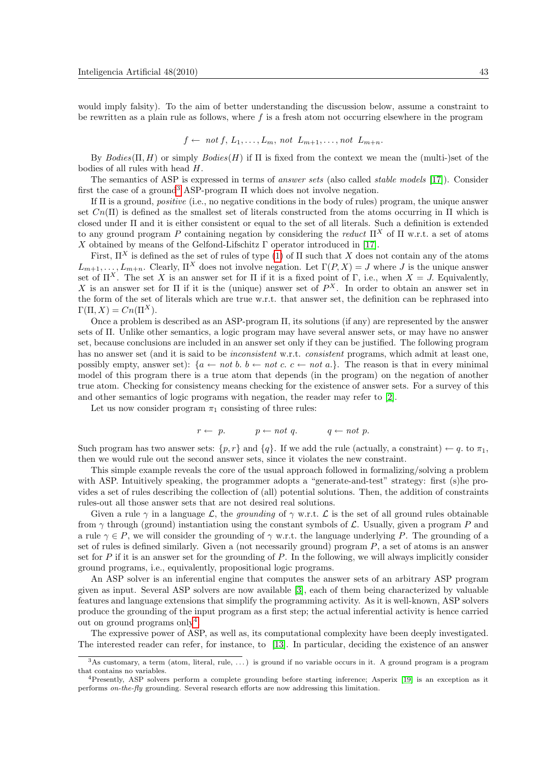would imply falsity). To the aim of better understanding the discussion below, assume a constraint to be rewritten as a plain rule as follows, where f is a fresh atom not occurring elsewhere in the program

$$
f \leftarrow not f, L_1, \ldots, L_m, not L_{m+1}, \ldots, not L_{m+n}.
$$

By  $Bodies(\Pi, H)$  or simply  $Bodies(H)$  if  $\Pi$  is fixed from the context we mean the (multi-)set of the bodies of all rules with head H.

The semantics of ASP is expressed in terms of answer sets (also called stable models [\[17\]](#page-11-1)). Consider first the case of a ground<sup>[3](#page-2-0)</sup> ASP-program  $\Pi$  which does not involve negation.

If Π is a ground, positive (i.e., no negative conditions in the body of rules) program, the unique answer set  $Cn(\Pi)$  is defined as the smallest set of literals constructed from the atoms occurring in  $\Pi$  which is closed under Π and it is either consistent or equal to the set of all literals. Such a definition is extended to any ground program P containing negation by considering the reduct  $\Pi^X$  of  $\Pi$  w.r.t. a set of atoms X obtained by means of the Gelfond-Lifschitz  $\Gamma$  operator introduced in [\[17\]](#page-11-1).

First,  $\Pi^X$  is defined as the set of rules of type [\(1\)](#page-1-3) of  $\Pi$  such that X does not contain any of the atoms  $L_{m+1}, \ldots, L_{m+n}$ . Clearly,  $\Pi^X$  does not involve negation. Let  $\Gamma(P, X) = J$  where J is the unique answer set of  $\Pi^X$ . The set X is an answer set for  $\Pi$  if it is a fixed point of  $\Gamma$ , i.e., when  $X = J$ . Equivalently, X is an answer set for  $\Pi$  if it is the (unique) answer set of  $P^X$ . In order to obtain an answer set in the form of the set of literals which are true w.r.t. that answer set, the definition can be rephrased into  $\Gamma(\Pi, X) = Cn(\Pi^X).$ 

Once a problem is described as an ASP-program Π, its solutions (if any) are represented by the answer sets of Π. Unlike other semantics, a logic program may have several answer sets, or may have no answer set, because conclusions are included in an answer set only if they can be justified. The following program has no answer set (and it is said to be *inconsistent* w.r.t. *consistent* programs, which admit at least one, possibly empty, answer set):  $\{a \leftarrow not \ b. \ b \leftarrow not \ c. \ c \leftarrow not \ a.\}$ . The reason is that in every minimal model of this program there is a true atom that depends (in the program) on the negation of another true atom. Checking for consistency means checking for the existence of answer sets. For a survey of this and other semantics of logic programs with negation, the reader may refer to [\[2\]](#page-10-3).

Let us now consider program  $\pi_1$  consisting of three rules:

$$
r \leftarrow p. \qquad p \leftarrow not \ q. \qquad q \leftarrow not \ p.
$$

Such program has two answer sets:  $\{p, r\}$  and  $\{q\}$ . If we add the rule (actually, a constraint)  $\leftarrow q$  to  $\pi_1$ , then we would rule out the second answer sets, since it violates the new constraint.

This simple example reveals the core of the usual approach followed in formalizing/solving a problem with ASP. Intuitively speaking, the programmer adopts a "generate-and-test" strategy: first (s)he provides a set of rules describing the collection of (all) potential solutions. Then, the addition of constraints rules-out all those answer sets that are not desired real solutions.

Given a rule  $\gamma$  in a language L, the *grounding* of  $\gamma$  w.r.t. L is the set of all ground rules obtainable from  $\gamma$  through (ground) instantiation using the constant symbols of  $\mathcal{L}$ . Usually, given a program P and a rule  $\gamma \in P$ , we will consider the grounding of  $\gamma$  w.r.t. the language underlying P. The grounding of a set of rules is defined similarly. Given a (not necessarily ground) program  $P$ , a set of atoms is an answer set for  $P$  if it is an answer set for the grounding of  $P$ . In the following, we will always implicitly consider ground programs, i.e., equivalently, propositional logic programs.

An ASP solver is an inferential engine that computes the answer sets of an arbitrary ASP program given as input. Several ASP solvers are now available [\[3\]](#page-10-2), each of them being characterized by valuable features and language extensions that simplify the programming activity. As it is well-known, ASP solvers produce the grounding of the input program as a first step; the actual inferential activity is hence carried out on ground programs only<sup>[4](#page-2-1)</sup>.

The expressive power of ASP, as well as, its computational complexity have been deeply investigated. The interested reader can refer, for instance, to [\[13\]](#page-11-9). In particular, deciding the existence of an answer

<span id="page-2-0"></span> $3$ As customary, a term (atom, literal, rule, ...) is ground if no variable occurs in it. A ground program is a program that contains no variables.

<span id="page-2-1"></span><sup>4</sup>Presently, ASP solvers perform a complete grounding before starting inference; Asperix [\[19\]](#page-11-13) is an exception as it performs on-the-fly grounding. Several research efforts are now addressing this limitation.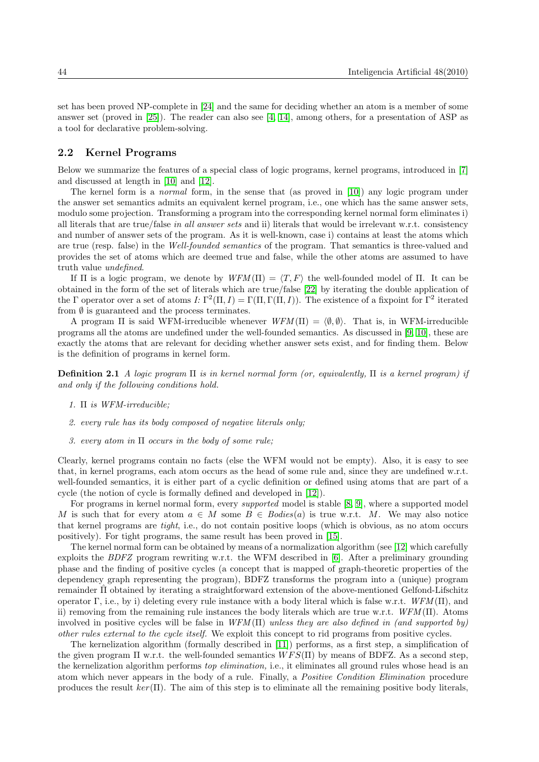set has been proved NP-complete in [\[24\]](#page-11-10) and the same for deciding whether an atom is a member of some answer set (proved in [\[25\]](#page-11-11)). The reader can also see [\[4,](#page-10-0) [14\]](#page-11-14), among others, for a presentation of ASP as a tool for declarative problem-solving.

### 2.2 Kernel Programs

Below we summarize the features of a special class of logic programs, kernel programs, introduced in [\[7\]](#page-10-4) and discussed at length in [\[10\]](#page-10-5) and [\[12\]](#page-11-15).

The kernel form is a normal form, in the sense that (as proved in [\[10\]](#page-10-5)) any logic program under the answer set semantics admits an equivalent kernel program, i.e., one which has the same answer sets, modulo some projection. Transforming a program into the corresponding kernel normal form eliminates i) all literals that are true/false in all answer sets and ii) literals that would be irrelevant w.r.t. consistency and number of answer sets of the program. As it is well-known, case i) contains at least the atoms which are true (resp. false) in the Well-founded semantics of the program. That semantics is three-valued and provides the set of atoms which are deemed true and false, while the other atoms are assumed to have truth value undefined.

If  $\Pi$  is a logic program, we denote by  $WFM(\Pi) = \langle T, F \rangle$  the well-founded model of  $\Pi$ . It can be obtained in the form of the set of literals which are true/false [\[22\]](#page-11-16) by iterating the double application of the  $\Gamma$  operator over a set of atoms  $I: \Gamma^2(\Pi, I) = \Gamma(\Pi, \Gamma(\Pi, I))$ . The existence of a fixpoint for  $\Gamma^2$  iterated from  $\emptyset$  is guaranteed and the process terminates.

A program  $\Pi$  is said WFM-irreducible whenever  $WFM(\Pi) = \langle \emptyset, \emptyset \rangle$ . That is, in WFM-irreducible programs all the atoms are undefined under the well-founded semantics. As discussed in [\[9,](#page-10-6) [10\]](#page-10-5), these are exactly the atoms that are relevant for deciding whether answer sets exist, and for finding them. Below is the definition of programs in kernel form.

**Definition 2.1** A logic program  $\Pi$  is in kernel normal form (or, equivalently,  $\Pi$  is a kernel program) if and only if the following conditions hold.

- 1. Π is WFM-irreducible;
- 2. every rule has its body composed of negative literals only;
- 3. every atom in  $\Pi$  occurs in the body of some rule;

Clearly, kernel programs contain no facts (else the WFM would not be empty). Also, it is easy to see that, in kernel programs, each atom occurs as the head of some rule and, since they are undefined w.r.t. well-founded semantics, it is either part of a cyclic definition or defined using atoms that are part of a cycle (the notion of cycle is formally defined and developed in [\[12\]](#page-11-15)).

For programs in kernel normal form, every supported model is stable [\[8,](#page-10-7) [9\]](#page-10-6), where a supported model M is such that for every atom  $a \in M$  some  $B \in Bodies(a)$  is true w.r.t. M. We may also notice that kernel programs are tight, i.e., do not contain positive loops (which is obvious, as no atom occurs positively). For tight programs, the same result has been proved in [\[15\]](#page-11-17).

The kernel normal form can be obtained by means of a normalization algorithm (see [\[12\]](#page-11-15) which carefully exploits the BDFZ program rewriting w.r.t. the WFM described in [\[6\]](#page-10-8). After a preliminary grounding phase and the finding of positive cycles (a concept that is mapped of graph-theoretic properties of the dependency graph representing the program), BDFZ transforms the program into a (unique) program remainder Π obtained by iterating a straightforward extension of the above-mentioned Gelfond-Lifschitz ˆ operator Γ, i.e., by i) deleting every rule instance with a body literal which is false w.r.t.  $WFM(\Pi)$ , and ii) removing from the remaining rule instances the body literals which are true w.r.t.  $WFM(\Pi)$ . Atoms involved in positive cycles will be false in  $WFM(\Pi)$  unless they are also defined in (and supported by) other rules external to the cycle itself. We exploit this concept to rid programs from positive cycles.

The kernelization algorithm (formally described in [\[11\]](#page-10-9)) performs, as a first step, a simplification of the given program  $\Pi$  w.r.t. the well-founded semantics  $WFS(\Pi)$  by means of BDFZ. As a second step, the kernelization algorithm performs top elimination, i.e., it eliminates all ground rules whose head is an atom which never appears in the body of a rule. Finally, a Positive Condition Elimination procedure produces the result  $ker(\Pi)$ . The aim of this step is to eliminate all the remaining positive body literals,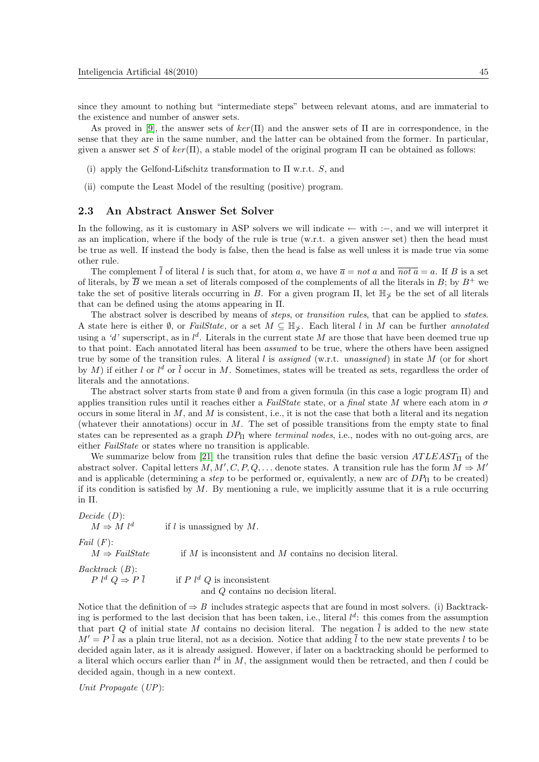since they amount to nothing but "intermediate steps" between relevant atoms, and are immaterial to the existence and number of answer sets.

As proved in [\[9\]](#page-10-6), the answer sets of  $ker(\Pi)$  and the answer sets of  $\Pi$  are in correspondence, in the sense that they are in the same number, and the latter can be obtained from the former. In particular, given a answer set S of  $ker(\Pi)$ , a stable model of the original program  $\Pi$  can be obtained as follows:

- (i) apply the Gelfond-Lifschitz transformation to  $\Pi$  w.r.t. S, and
- (ii) compute the Least Model of the resulting (positive) program.

### 2.3 An Abstract Answer Set Solver

In the following, as it is customary in ASP solvers we will indicate ← with :−, and we will interpret it as an implication, where if the body of the rule is true (w.r.t. a given answer set) then the head must be true as well. If instead the body is false, then the head is false as well unless it is made true via some other rule.

The complement  $\overline{l}$  of literal l is such that, for atom a, we have  $\overline{a} = not a$  and  $\overline{not a} = a$ . If B is a set of literals, by  $\overline{B}$  we mean a set of literals composed of the complements of all the literals in  $B$ ; by  $B^+$  we take the set of positive literals occurring in B. For a given program  $\Pi$ , let  $\mathbb{H}_{\times}$  be the set of all literals that can be defined using the atoms appearing in Π.

The abstract solver is described by means of *steps*, or *transition rules*, that can be applied to *states*. A state here is either Ø, or FailState, or a set  $M \subseteq \mathbb{H}_{\times}$ . Each literal l in M can be further annotated using a 'd' superscript, as in  $l^d$ . Literals in the current state M are those that have been deemed true up to that point. Each annotated literal has been assumed to be true, where the others have been assigned true by some of the transition rules. A literal l is assigned (w.r.t. unassigned) in state  $M$  (or for short by M) if either l or  $l^d$  or  $\overline{l}$  occur in M. Sometimes, states will be treated as sets, regardless the order of literals and the annotations.

The abstract solver starts from state  $\emptyset$  and from a given formula (in this case a logic program  $\Pi$ ) and applies transition rules until it reaches either a FailState state, or a final state M where each atom in  $\sigma$ occurs in some literal in  $M$ , and  $M$  is consistent, i.e., it is not the case that both a literal and its negation (whatever their annotations) occur in  $M$ . The set of possible transitions from the empty state to final states can be represented as a graph  $DP_{\Pi}$  where *terminal nodes*, i.e., nodes with no out-going arcs, are either *FailState* or states where no transition is applicable.

We summarize below from [\[21\]](#page-11-7) the transition rules that define the basic version  $ATLEAST_{\Pi}$  of the abstract solver. Capital letters  $M, M', C, P, Q, \ldots$  denote states. A transition rule has the form  $M \Rightarrow M'$ and is applicable (determining a *step* to be performed or, equivalently, a new arc of  $DP<sub>II</sub>$  to be created) if its condition is satisfied by  $M$ . By mentioning a rule, we implicitly assume that it is a rule occurring in Π.

Decide (D):

if  $l$  is unassigned by  $M$ .

Fail  $(F)$ :

 $M \Rightarrow$  FailState if M is inconsistent and M contains no decision literal.

Backtrack (B):

 $M \Rightarrow M l^d$ 

 $P \, l^d \, Q \Rightarrow P \, \overline{l}$  if  $P \, l^d \, Q$  is inconsistent and Q contains no decision literal.

Notice that the definition of  $\Rightarrow$  B includes strategic aspects that are found in most solvers. (i) Backtracking is performed to the last decision that has been taken, i.e., literal  $l^d$ : this comes from the assumption that part Q of initial state M contains no decision literal. The negation  $\overline{l}$  is added to the new state  $M' = P \bar{l}$  as a plain true literal, not as a decision. Notice that adding  $\bar{l}$  to the new state prevents l to be decided again later, as it is already assigned. However, if later on a backtracking should be performed to a literal which occurs earlier than  $l^d$  in M, the assignment would then be retracted, and then l could be decided again, though in a new context.

Unit Propagate 
$$
(UP)
$$
: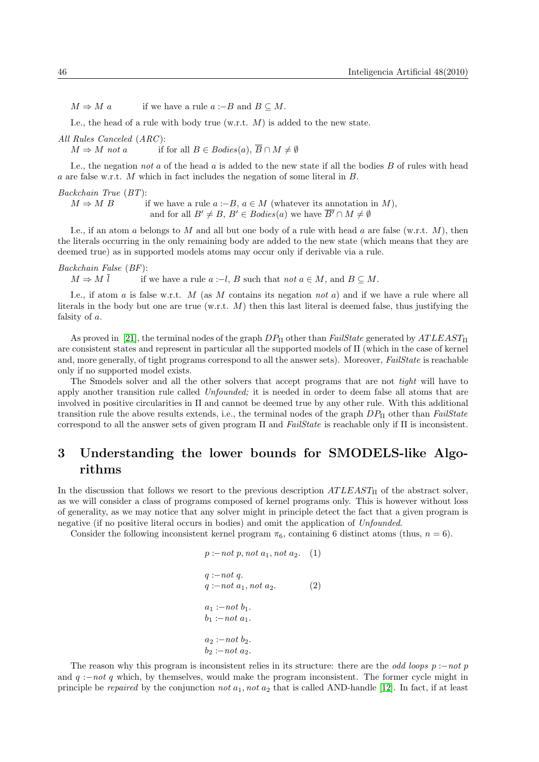$M \Rightarrow M a$  if we have a rule  $a := B$  and  $B \subseteq M$ .

I.e., the head of a rule with body true (w.r.t.  $M$ ) is added to the new state.

All Rules Canceled (ARC ):

 $M \Rightarrow M$  not a if for all  $B \in \text{Bodies}(a), \overline{B} \cap M \neq \emptyset$ 

I.e., the negation not  $a$  of the head  $a$  is added to the new state if all the bodies  $B$  of rules with head a are false w.r.t. M which in fact includes the negation of some literal in B.

Backchain True (BT):

 $M \Rightarrow M B$  if we have a rule  $a := B, a \in M$  (whatever its annotation in M), and for all  $B' \neq B$ ,  $B' \in \text{Bodies}(a)$  we have  $\overline{B'} \cap M \neq \emptyset$ 

I.e., if an atom a belongs to M and all but one body of a rule with head a are false (w.r.t. M), then the literals occurring in the only remaining body are added to the new state (which means that they are deemed true) as in supported models atoms may occur only if derivable via a rule.

Backchain False (BF):

 $M \Rightarrow M \bar{l}$  if we have a rule  $a : -l, B$  such that not  $a \in M$ , and  $B \subseteq M$ .

I.e., if atom a is false w.r.t.  $M$  (as  $M$  contains its negation not  $a$ ) and if we have a rule where all literals in the body but one are true (w.r.t.  $M$ ) then this last literal is deemed false, thus justifying the falsity of a.

As proved in [\[21\]](#page-11-7), the terminal nodes of the graph  $DP_{\Pi}$  other than FailState generated by  $ATLEAST_{\Pi}$ are consistent states and represent in particular all the supported models of Π (which in the case of kernel and, more generally, of tight programs correspond to all the answer sets). Moreover, *FailState* is reachable only if no supported model exists.

The Smodels solver and all the other solvers that accept programs that are not *tight* will have to apply another transition rule called Unfounded; it is needed in order to deem false all atoms that are involved in positive circularities in Π and cannot be deemed true by any other rule. With this additional transition rule the above results extends, i.e., the terminal nodes of the graph  $DP_{\Pi}$  other than FailState correspond to all the answer sets of given program  $\Pi$  and FailState is reachable only if  $\Pi$  is inconsistent.

## <span id="page-5-0"></span>3 Understanding the lower bounds for SMODELS-like Algorithms

In the discussion that follows we resort to the previous description  $ATLEAST_{\Pi}$  of the abstract solver, as we will consider a class of programs composed of kernel programs only. This is however without loss of generality, as we may notice that any solver might in principle detect the fact that a given program is negative (if no positive literal occurs in bodies) and omit the application of Unfounded.

Consider the following inconsistent kernel program  $\pi_6$ , containing 6 distinct atoms (thus,  $n = 6$ ).

$$
p := not p, not a_1, not a_2.
$$
 (1)  
\n
$$
q := not q.
$$
  
\n
$$
q := not a_1, not a_2.
$$
 (2)  
\n
$$
a_1 := not b_1.
$$
  
\n
$$
b_1 := not a_1.
$$
  
\n
$$
a_2 := not b_2.
$$
  
\n
$$
b_2 := not a_2.
$$

The reason why this program is inconsistent relies in its structure: there are the *odd loops*  $p :$ -not p and  $q := not q$  which, by themselves, would make the program inconsistent. The former cycle might in principle be repaired by the conjunction not  $a_1$ , not  $a_2$  that is called AND-handle [\[12\]](#page-11-15). In fact, if at least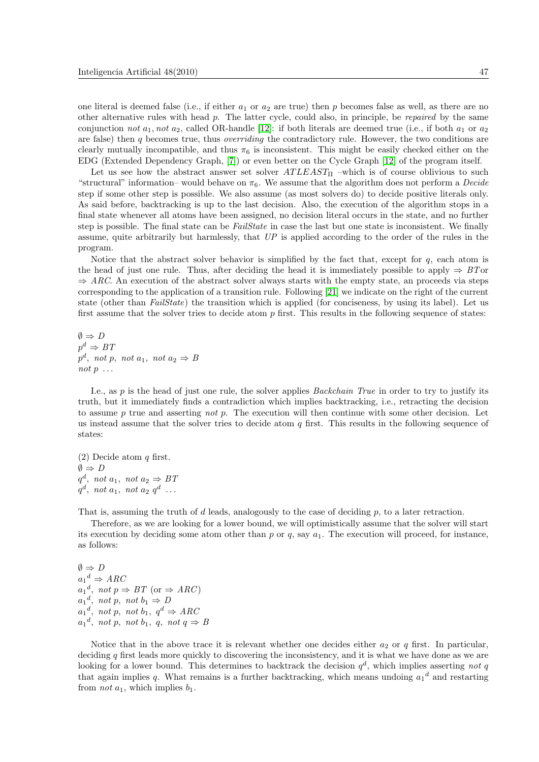one literal is deemed false (i.e., if either  $a_1$  or  $a_2$  are true) then p becomes false as well, as there are no other alternative rules with head  $p$ . The latter cycle, could also, in principle, be *repaired* by the same conjunction not  $a_1$ , not  $a_2$ , called OR-handle [\[12\]](#page-11-15): if both literals are deemed true (i.e., if both  $a_1$  or  $a_2$ are false) then  $q$  becomes true, thus *overriding* the contradictory rule. However, the two conditions are clearly mutually incompatible, and thus  $\pi_6$  is inconsistent. This might be easily checked either on the EDG (Extended Dependency Graph, [\[7\]](#page-10-4)) or even better on the Cycle Graph [\[12\]](#page-11-15) of the program itself.

Let us see how the abstract answer set solver  $ATLEAST_{\Pi}$  –which is of course oblivious to such "structural" information– would behave on  $\pi_6$ . We assume that the algorithm does not perform a *Decide* step if some other step is possible. We also assume (as most solvers do) to decide positive literals only. As said before, backtracking is up to the last decision. Also, the execution of the algorithm stops in a final state whenever all atoms have been assigned, no decision literal occurs in the state, and no further step is possible. The final state can be *FailState* in case the last but one state is inconsistent. We finally assume, quite arbitrarily but harmlessly, that UP is applied according to the order of the rules in the program.

Notice that the abstract solver behavior is simplified by the fact that, except for  $q$ , each atom is the head of just one rule. Thus, after deciding the head it is immediately possible to apply  $\Rightarrow$  BTor  $\Rightarrow$  ARC. An execution of the abstract solver always starts with the empty state, an proceeds via steps corresponding to the application of a transition rule. Following [\[21\]](#page-11-7) we indicate on the right of the current state (other than *FailState*) the transition which is applied (for conciseness, by using its label). Let us first assume that the solver tries to decide atom  $p$  first. This results in the following sequence of states:

 $\emptyset \Rightarrow D$  $p^d \Rightarrow BT$  $p^d$ , not  $p$ , not  $a_1$ , not  $a_2 \Rightarrow B$ not  $p \ldots$ 

I.e., as p is the head of just one rule, the solver applies Backchain True in order to try to justify its truth, but it immediately finds a contradiction which implies backtracking, i.e., retracting the decision to assume p true and asserting not p. The execution will then continue with some other decision. Let us instead assume that the solver tries to decide atom  $q$  first. This results in the following sequence of states:

(2) Decide atom  $q$  first.  $\emptyset \Rightarrow D$  $q^d$ , not  $a_1$ , not  $a_2 \Rightarrow BT$  $q^d$ , not  $a_1$ , not  $a_2$   $q^d$  ...

That is, assuming the truth of  $d$  leads, analogously to the case of deciding  $p$ , to a later retraction.

Therefore, as we are looking for a lower bound, we will optimistically assume that the solver will start its execution by deciding some atom other than p or q, say  $a_1$ . The execution will proceed, for instance, as follows:

 $\emptyset \Rightarrow D$  $a_1^d \Rightarrow \text{ARC}$  $a_1^d$ , not  $p \Rightarrow BT$  (or  $\Rightarrow ARC$ )  $a_1^d$ , not p, not  $b_1 \Rightarrow D$  $a_1^d$ , not p, not  $b_1$ ,  $q^d \Rightarrow \text{ARC}$  $a_1^d$ , not p, not  $b_1$ , q, not  $q \Rightarrow B$ 

Notice that in the above trace it is relevant whether one decides either  $a_2$  or q first. In particular, deciding  $q$  first leads more quickly to discovering the inconsistency, and it is what we have done as we are looking for a lower bound. This determines to backtrack the decision  $q<sup>d</sup>$ , which implies asserting not q that again implies q. What remains is a further backtracking, which means undoing  $a_1^d$  and restarting from *not*  $a_1$ , which implies  $b_1$ .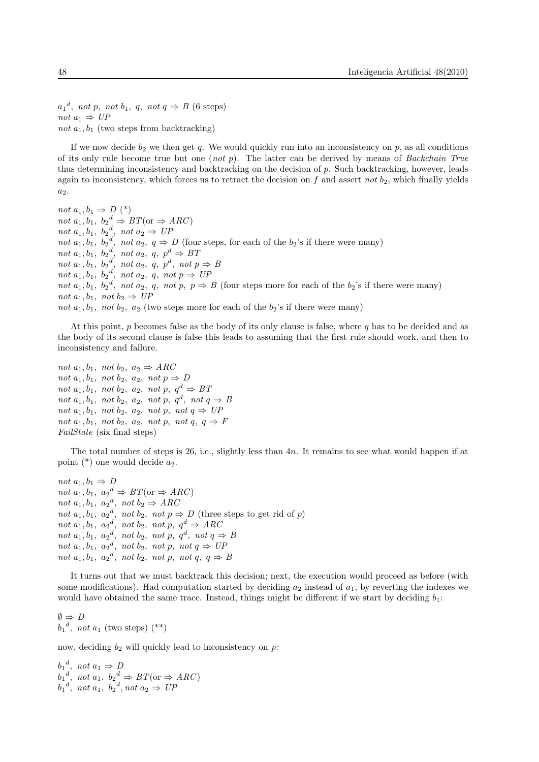$a_1^d$ , not p, not  $b_1$ , q, not  $q \Rightarrow B$  (6 steps) not  $a_1 \Rightarrow UP$ not  $a_1, b_1$  (two steps from backtracking)

If we now decide  $b_2$  we then get q. We would quickly run into an inconsistency on p, as all conditions of its only rule become true but one  $(not p)$ . The latter can be derived by means of *Backchain True* thus determining inconsistency and backtracking on the decision of p. Such backtracking, however, leads again to inconsistency, which forces us to retract the decision on  $f$  and assert not  $b_2$ , which finally yields  $a_2$ .

not  $a_1, b_1 \Rightarrow D$  (\*) not  $a_1, b_1, b_2^d \Rightarrow BT(\text{or} \Rightarrow ARC)$ not  $a_1, b_1, b_2^d, not a_2 \Rightarrow UP$ not  $a_1, b_1, b_2^d$ , not  $a_2, q \Rightarrow D$  (four steps, for each of the  $b_2$ 's if there were many) not  $a_1, b_1, b_2^d$ , not  $a_2, q, p^d \Rightarrow BT$ not  $a_1, b_1, b_2^d$ , not  $a_2, q, p^d$ , not  $p \Rightarrow B$ not  $a_1, b_1, b_2^d$ , not  $a_2, q$ , not  $p \Rightarrow UP$ not  $a_1, b_1, b_2^d$ , not  $a_2, q$ , not p,  $p \Rightarrow B$  (four steps more for each of the  $b_2$ 's if there were many) not  $a_1, b_1, not b_2 \Rightarrow UP$ not  $a_1, b_1, not b_2, a_2$  (two steps more for each of the  $b_2$ 's if there were many)

At this point, p becomes false as the body of its only clause is false, where q has to be decided and as the body of its second clause is false this leads to assuming that the first rule should work, and then to inconsistency and failure.

not  $a_1, b_1, not b_2, a_2 \Rightarrow ARC$ not  $a_1, b_1$ , not  $b_2, a_2, not$   $p \Rightarrow D$ not  $a_1, b_1, not b_2, a_2, not p, q^d \Rightarrow BT$ not  $a_1, b_1$ , not  $b_2, a_2, not p, q^d, not q \Rightarrow B$ not  $a_1, b_1$ , not  $b_2, a_2, not p, not q \Rightarrow UP$ not  $a_1, b_1$ , not  $b_2, a_2, not p, not q, q \Rightarrow F$ FailState (six final steps)

The total number of steps is 26, i.e., slightly less than 4n. It remains to see what would happen if at point  $(*)$  one would decide  $a_2$ .

not  $a_1, b_1 \Rightarrow D$ not  $a_1, b_1, a_2^d \Rightarrow BT(\text{or} \Rightarrow ARC)$ not  $a_1, b_1, a_2^d, not b_2 \Rightarrow ARC$ not  $a_1, b_1, a_2^d$ , not  $b_2, not p \Rightarrow D$  (three steps to get rid of p) not  $a_1, b_1, a_2^d, not b_2, not p, q^d \Rightarrow \text{ARC}$ not  $a_1, b_1, a_2^d, not b_2, not p, q^d, not q \Rightarrow B$ not  $a_1, b_1, a_2^d, not b_2, not p, not q \Rightarrow UP$ not  $a_1, b_1, a_2^d, not b_2, not p, not q, q \Rightarrow B$ 

It turns out that we must backtrack this decision; next, the execution would proceed as before (with some modifications). Had computation started by deciding  $a_2$  instead of  $a_1$ , by reverting the indexes we would have obtained the same trace. Instead, things might be different if we start by deciding  $b_1$ :

 $\emptyset \Rightarrow D$  $b_1^d$ , not  $a_1$  (two steps)  $(**)$ 

now, deciding  $b_2$  will quickly lead to inconsistency on p:

 $b_1^d$ , not  $a_1 \Rightarrow D$  $b_1^d$ , not  $a_1$ ,  $b_2^d \Rightarrow BT$  (or  $\Rightarrow ARC$ )  $b_1^d$ , not  $a_1$ ,  $b_2^d$ , not  $a_2 \Rightarrow UP$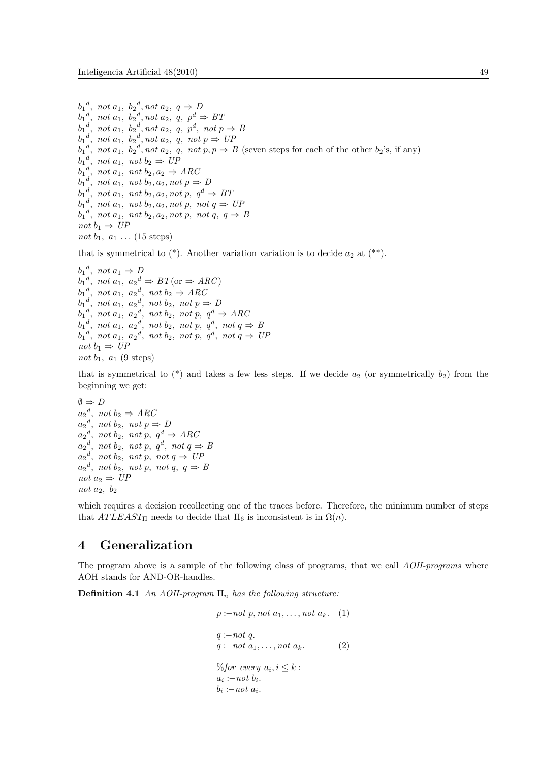```
b_1^d, not a_1, b_2^d, not a_2, q \Rightarrow Db_1^d, not a_1, b_2^d, not a_2, q, p^d \Rightarrow BTb_1^d, not a_1, b_2^d, not a_2, q, p^d, not p \Rightarrow Bb_1^d, not a_1, b_2^d, not a_2, q, not p \Rightarrow \textit{UP}b_1^d, not a_1, b_2^d, not a_2, q, not p, p \Rightarrow B (seven steps for each of the other b_2's, if any)
b_1^d, not a_1, not b_2 \Rightarrow UPb_1^d, not a_1, not b_2, a_2 \Rightarrow ARC
b_1^d, not a_1, not b_2, a_2, not p \Rightarrow Db_1^d, not a_1, not b_2, a_2, not p, q^d \Rightarrow BTb_1^d, not a_1, not b_2, a_2, not p, not q \Rightarrow \textit{UP}b_1^d, not a_1, not b_2, a_2, not p, not q, q \Rightarrow Bnot b_1 \Rightarrow UPnot b_1, a_1 \ldots (15 \text{ steps})
```
that is symmetrical to  $(*)$ . Another variation variation is to decide  $a_2$  at  $(**)$ .

```
b_1^d, not a_1 \Rightarrow Db_1^d, not a_1, a_2^d \Rightarrow BT (or \Rightarrow ARC)
b_1^d, not a_1, a_2^d, not b_2 \Rightarrow \text{ARC}b_1^d, not a_1, a_2^d, not b_2, not p \Rightarrow Db_1^d, not a_1, a_2^d, not b_2, not p, q^d \Rightarrow \text{ARC}b_1^d, not a_1, a_2^d, not b_2, not p, q^d, not q \Rightarrow Bb_1^d, not a_1, a_2^d, not b_2, not p, q^d, not q \Rightarrow \text{UP}not b_1 \Rightarrow UPnot b_1, a_1 (9 steps)
```
that is symmetrical to  $(*)$  and takes a few less steps. If we decide  $a_2$  (or symmetrically  $b_2$ ) from the beginning we get:

```
\emptyset \Rightarrow Da_2^d, not b_2 \Rightarrow ABCa_2^d, not b_2, not p \Rightarrow Da_2^d, not b<sub>2</sub>, not p, q^d \Rightarrow \text{ARC}a_2^d, not b_2, not p, q^d, not q \Rightarrow Ba_2^d, not b_2, not p, not q \Rightarrow \mathit{UP}a_2^d, not b_2, not p, not q, q \Rightarrow Bnot a_2 \Rightarrow UPnot a_2, b_2
```
which requires a decision recollecting one of the traces before. Therefore, the minimum number of steps that  $ATLEAST_\Pi$  needs to decide that  $\Pi_6$  is inconsistent is in  $\Omega(n)$ .

### <span id="page-8-0"></span>4 Generalization

The program above is a sample of the following class of programs, that we call AOH-programs where AOH stands for AND-OR-handles.

**Definition 4.1** An AOH-program  $\Pi_n$  has the following structure:

```
p := not\ p, not\ a_1, \ldots, not\ a_k. (1)
q := not q.
q := not a_1, \ldots, not a_k. (2)
\%for every a_i, i \leq k:
a_i := not b_i.b_i := not \ a_i.
```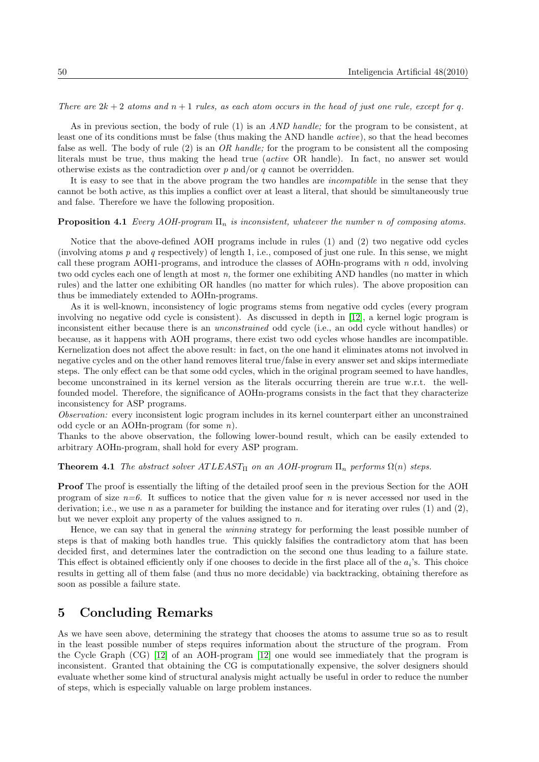#### There are  $2k + 2$  atoms and  $n + 1$  rules, as each atom occurs in the head of just one rule, except for q.

As in previous section, the body of rule (1) is an *AND handle*; for the program to be consistent, at least one of its conditions must be false (thus making the AND handle active), so that the head becomes false as well. The body of rule  $(2)$  is an *OR handle*; for the program to be consistent all the composing literals must be true, thus making the head true (active OR handle). In fact, no answer set would otherwise exists as the contradiction over  $p$  and/or  $q$  cannot be overridden.

It is easy to see that in the above program the two handles are *incompatible* in the sense that they cannot be both active, as this implies a conflict over at least a literal, that should be simultaneously true and false. Therefore we have the following proposition.

#### **Proposition 4.1** Every AOH-program  $\Pi_n$  is inconsistent, whatever the number n of composing atoms.

Notice that the above-defined AOH programs include in rules (1) and (2) two negative odd cycles (involving atoms  $p$  and  $q$  respectively) of length 1, i.e., composed of just one rule. In this sense, we might call these program AOH1-programs, and introduce the classes of AOHn-programs with  $n$  odd, involving two odd cycles each one of length at most n, the former one exhibiting AND handles (no matter in which rules) and the latter one exhibiting OR handles (no matter for which rules). The above proposition can thus be immediately extended to AOHn-programs.

As it is well-known, inconsistency of logic programs stems from negative odd cycles (every program involving no negative odd cycle is consistent). As discussed in depth in [\[12\]](#page-11-15), a kernel logic program is inconsistent either because there is an unconstrained odd cycle (i.e., an odd cycle without handles) or because, as it happens with AOH programs, there exist two odd cycles whose handles are incompatible. Kernelization does not affect the above result: in fact, on the one hand it eliminates atoms not involved in negative cycles and on the other hand removes literal true/false in every answer set and skips intermediate steps. The only effect can be that some odd cycles, which in the original program seemed to have handles, become unconstrained in its kernel version as the literals occurring therein are true w.r.t. the wellfounded model. Therefore, the significance of AOHn-programs consists in the fact that they characterize inconsistency for ASP programs.

Observation: every inconsistent logic program includes in its kernel counterpart either an unconstrained odd cycle or an AOHn-program (for some n).

Thanks to the above observation, the following lower-bound result, which can be easily extended to arbitrary AOHn-program, shall hold for every ASP program.

**Theorem 4.1** The abstract solver  $ATLEAST_\Pi$  on an AOH-program  $\Pi_n$  performs  $\Omega(n)$  steps.

Proof The proof is essentially the lifting of the detailed proof seen in the previous Section for the AOH program of size  $n=6$ . It suffices to notice that the given value for n is never accessed nor used in the derivation; i.e., we use n as a parameter for building the instance and for iterating over rules  $(1)$  and  $(2)$ , but we never exploit any property of the values assigned to  $n$ .

Hence, we can say that in general the winning strategy for performing the least possible number of steps is that of making both handles true. This quickly falsifies the contradictory atom that has been decided first, and determines later the contradiction on the second one thus leading to a failure state. This effect is obtained efficiently only if one chooses to decide in the first place all of the  $a_i$ 's. This choice results in getting all of them false (and thus no more decidable) via backtracking, obtaining therefore as soon as possible a failure state.

### <span id="page-9-0"></span>5 Concluding Remarks

As we have seen above, determining the strategy that chooses the atoms to assume true so as to result in the least possible number of steps requires information about the structure of the program. From the Cycle Graph (CG) [\[12\]](#page-11-15) of an AOH-program [\[12\]](#page-11-15) one would see immediately that the program is inconsistent. Granted that obtaining the CG is computationally expensive, the solver designers should evaluate whether some kind of structural analysis might actually be useful in order to reduce the number of steps, which is especially valuable on large problem instances.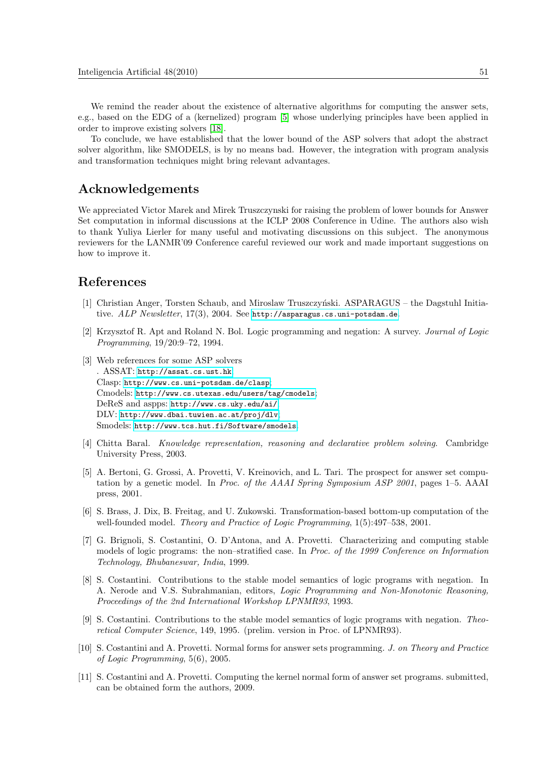We remind the reader about the existence of alternative algorithms for computing the answer sets, e.g., based on the EDG of a (kernelized) program [\[5\]](#page-10-10) whose underlying principles have been applied in order to improve existing solvers [\[18\]](#page-11-18).

To conclude, we have established that the lower bound of the ASP solvers that adopt the abstract solver algorithm, like SMODELS, is by no means bad. However, the integration with program analysis and transformation techniques might bring relevant advantages.

## Acknowledgements

We appreciated Victor Marek and Mirek Truszczynski for raising the problem of lower bounds for Answer Set computation in informal discussions at the ICLP 2008 Conference in Udine. The authors also wish to thank Yuliya Lierler for many useful and motivating discussions on this subject. The anonymous reviewers for the LANMR'09 Conference careful reviewed our work and made important suggestions on how to improve it.

### References

- <span id="page-10-1"></span>[1] Christian Anger, Torsten Schaub, and Miroslaw Truszczyński. ASPARAGUS – the Dagstuhl Initiative. ALP Newsletter, 17(3), 2004. See <http://asparagus.cs.uni-potsdam.de>.
- <span id="page-10-3"></span>[2] Krzysztof R. Apt and Roland N. Bol. Logic programming and negation: A survey. Journal of Logic Programming, 19/20:9–72, 1994.
- <span id="page-10-2"></span>[3] Web references for some ASP solvers . ASSAT: <http://assat.cs.ust.hk>; Clasp: <http://www.cs.uni-potsdam.de/clasp>; Cmodels: <http://www.cs.utexas.edu/users/tag/cmodels>; DeReS and aspps: <http://www.cs.uky.edu/ai/>; DLV: <http://www.dbai.tuwien.ac.at/proj/dlv>; Smodels: <http://www.tcs.hut.fi/Software/smodels>.
- <span id="page-10-0"></span>[4] Chitta Baral. Knowledge representation, reasoning and declarative problem solving. Cambridge University Press, 2003.
- <span id="page-10-10"></span>[5] A. Bertoni, G. Grossi, A. Provetti, V. Kreinovich, and L. Tari. The prospect for answer set computation by a genetic model. In Proc. of the AAAI Spring Symposium ASP 2001, pages 1–5. AAAI press, 2001.
- <span id="page-10-8"></span>[6] S. Brass, J. Dix, B. Freitag, and U. Zukowski. Transformation-based bottom-up computation of the well-founded model. Theory and Practice of Logic Programming, 1(5):497–538, 2001.
- <span id="page-10-4"></span>[7] G. Brignoli, S. Costantini, O. D'Antona, and A. Provetti. Characterizing and computing stable models of logic programs: the non–stratified case. In Proc. of the 1999 Conference on Information Technology, Bhubaneswar, India, 1999.
- <span id="page-10-7"></span>[8] S. Costantini. Contributions to the stable model semantics of logic programs with negation. In A. Nerode and V.S. Subrahmanian, editors, Logic Programming and Non-Monotonic Reasoning, Proceedings of the 2nd International Workshop LPNMR93, 1993.
- <span id="page-10-6"></span>[9] S. Costantini. Contributions to the stable model semantics of logic programs with negation. Theoretical Computer Science, 149, 1995. (prelim. version in Proc. of LPNMR93).
- <span id="page-10-5"></span>[10] S. Costantini and A. Provetti. Normal forms for answer sets programming. J. on Theory and Practice of Logic Programming, 5(6), 2005.
- <span id="page-10-9"></span>[11] S. Costantini and A. Provetti. Computing the kernel normal form of answer set programs. submitted, can be obtained form the authors, 2009.